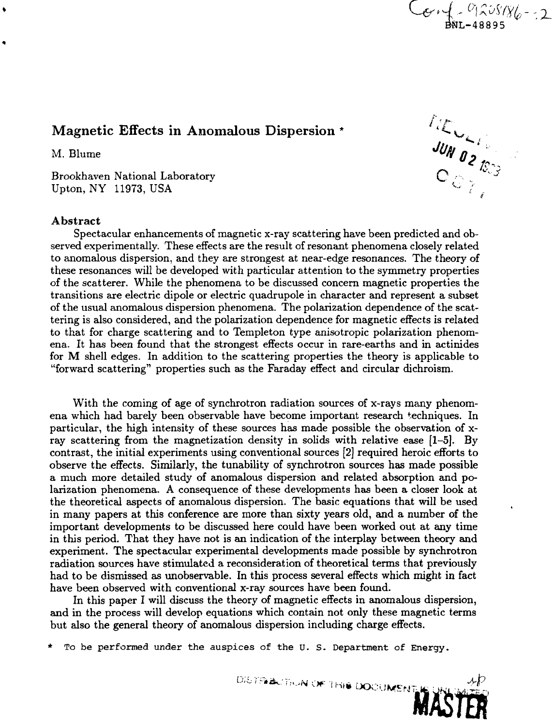# Magnetic Effects in Anomalous Dispersion \*

Brookhaven National Laboratory Upton, NY 11973, USA ^ / *(*

# **Abstract**

Spectacular enhancements of magnetic x-ray scattering have been predicted and observed experimentally. These effects are the result of resonant phenomena closely related to anomalous dispersion, and they are strongest at near-edge resonances. The theory of these resonances will be developed with particular attention to the symmetry properties of the scatterer. While the phenomena to be discussed concern magnetic properties the transitions are electric dipole or electric quadrupole in character and represent a subset of the usual anomalous dispersion phenomena. The polarization dependence of the scattering is also considered, and the polarization dependence for magnetic effects is related to that for charge scattering and to Templeton type anisotropic polarization phenomena. It has been found that the strongest effects occur in rare-earths and in actinides for M shell edges. In addition to the scattering properties the theory is applicable to "forward scattering" properties such as the Faraday effect and circular dichroism.

With the coming of age of synchrotron radiation sources of x-rays many phenomena which had barely been observable have become important research techniques. In particular, the high intensity of these sources has made possible the observation of xray scattering from the magnetization density in solids with relative ease [1-5]. By contrast, the initial experiments using conventional sources [2] required heroic efforts to observe the effects. Similarly, the tunability of synchrotron sources has made possible a much more detailed study of anomalous dispersion and related absorption and polarization phenomena. A consequence of these developments has been a closer look at the theoretical aspects of anomalous dispersion. The basic equations that will be used in many papers at this conference are more than sixty years old, and a number of the important developments to be discussed here could have been worked out at any time in this period. That they have not is an indication of the interplay between theory and experiment. The spectacular experimental developments made possible by synchrotron radiation sources have stimulated a reconsideration of theoretical terms that previously had to be dismissed as unobservable. In this process several effects which might in fact have been observed with conventional x-ray sources have been found.

In this paper I will discuss the theory of magnetic effects in anomalous dispersion, and in the process will develop equations which contain not only these magnetic terms but also the general theory of anomalous dispersion including charge effects.

To be performed under the auspices of the U.S. Department of Energy.

Magnetic Effects in Anomalous Dispersion \*<br>
M. Blume<br>  $\frac{U_{M}}{Q} \int_{\mathcal{L}}^{\mathcal{L}} \mathcal{L}_{\mathcal{L}}$ <br>  $\frac{U_{M}}{Q} \int_{\mathcal{L}}^{\mathcal{L}} \mathcal{L}_{\mathcal{L}}$ 

 $C_{C_{4}}$  =  $01205/86 - 2$ 

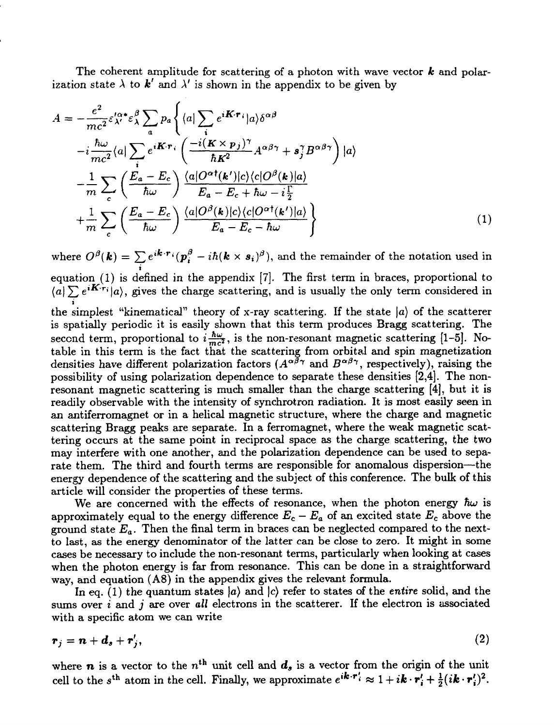The coherent amplitude for scattering of a photon with wave vector *k* and polarization state  $\lambda$  to **k'** and  $\lambda'$  is shown in the appendix to be given by

$$
A = -\frac{e^2}{mc^2} \varepsilon_{\lambda'}^{\alpha *} \varepsilon_{\lambda}^{\beta} \sum_{a} p_a \left\{ \langle a | \sum_{i} e^{i\mathbf{K} \cdot \mathbf{r}_i} | a \rangle \delta^{\alpha \beta} \right.-i \frac{\hbar \omega}{mc^2} \langle a | \sum_{i} e^{i\mathbf{K} \cdot \mathbf{r}_i} \left( \frac{-i(\mathbf{K} \times \mathbf{p}_j)^{\gamma}}{\hbar \mathbf{K}^2} A^{\alpha \beta \gamma} + \mathbf{s}_j^{\gamma} B^{\alpha \beta \gamma} \right) | a \rangle - \frac{1}{m} \sum_{c} \left( \frac{E_a - E_c}{\hbar \omega} \right) \frac{\langle a | O^{\alpha \dagger}(\mathbf{k'}) | c \rangle \langle c | O^{\beta}(\mathbf{k}) | a \rangle}{E_a - E_c + \hbar \omega - i \frac{\Gamma}{2}} + \frac{1}{m} \sum_{c} \left( \frac{E_a - E_c}{\hbar \omega} \right) \frac{\langle a | O^{\beta}(\mathbf{k}) | c \rangle \langle c | O^{\alpha \dagger}(\mathbf{k'}) | a \rangle}{E_a - E_c - \hbar \omega} \right\}
$$
(1)

where  $O^\beta(\bm{k}) = \sum e^{i\bm{k}\cdot\bm{r}_i}(\bm{p}_i^\beta - i\hbar(\bm{k}\times\bm{s}_i)^\beta),$  and the remainder of the notation used in **i** equation (1) is defined in the appendix  $\{r\}$ . The first term in braces, proportional to  $t + \nabla \cdot iK(r)$ .  $\langle a|\sum_{i} e^{i\pi i/\tau}a\rangle$ , gives the charge scattering, and is usually the only term considered in the simplest "kinematical" theory of x-ray scattering. If the state  $|a\rangle$  of the scatterer is spatially periodic it is easily shown that this term produces Bragg scattering. The second term, proportional to  $i\frac{\hbar\omega}{mc^2}$ , is the non-resonant magnetic scattering [1-5]. Notable in this term is the fact that the scattering from orbital and spin magnetization densities have different polarization factors  $(A^{\alpha\beta\gamma})$  and  $B^{\alpha\beta\gamma}$ , respectively), raising the possibility of using polarization dependence to separate these densities [2,4]. The nonresonant magnetic scattering is much smaller than the charge scattering [4], but it is readily observable with the intensity of synchrotron radiation. It is most easily seen in an antiferromagnet or in a helical magnetic structure, where the charge and magnetic

scattering Bragg peaks are separate. In a ferromagnet, where the weak magnetic scattering occurs at the same point in reciprocal space as the charge scattering, the two may interfere with one another, and the polarization dependence can be used to separate them. The third and fourth terms are responsible for anomalous dispersion—the energy dependence of the scattering and the subject of this conference. The bulk of this article will consider the properties of these terms.

We are concerned with the effects of resonance, when the photon energy  $\hbar\omega$  is approximately equal to the energy difference  $E_c - E_a$  of an excited state  $E_c$  above the ground state  $E_a$ . Then the final term in braces can be neglected compared to the nextto last, as the energy denominator of the latter can be close to zero. It might in some cases be necessary to include the non-resonant terms, particularly when looking at cases when the photon energy is far from resonance. This can be done in a straightforward way, and equation (A8) in the appendix gives the relevant formula.

In eq. (1) the quantum states *\a)* and |c) refer to states of the *entire* solid, and the sums over *i* and *j* are over *all* electrons in the scatterer. If the electron is associated with a specific atom we can write

$$
r_j = n + d_s + r'_j,\tag{2}
$$

where  $n$  is a vector to the  $n<sup>th</sup>$  unit cell and  $d_s$  is a vector from the origin of the unit cell to the s<sup>th</sup> atom in the cell. Finally, we approximate  $e^{i\mathbf{k}\cdot\mathbf{r}'_i} \approx 1 + i\mathbf{k}\cdot\mathbf{r}'_i + \frac{1}{2}(i\mathbf{k}\cdot\mathbf{r}'_i)^2$ .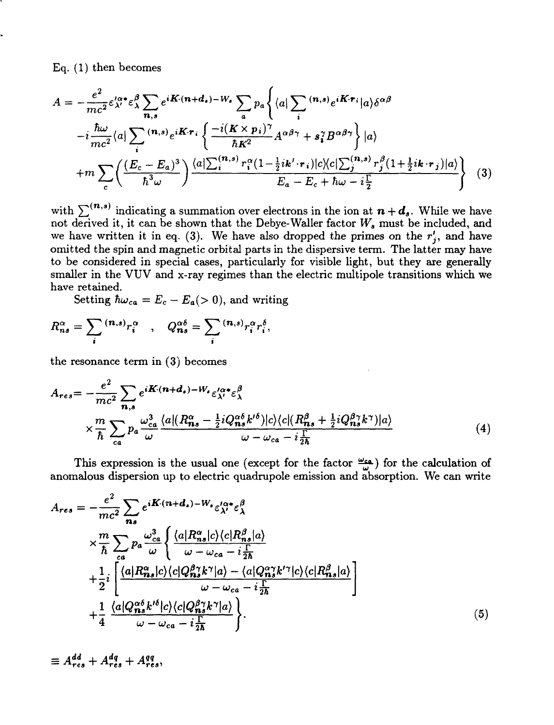Eq. (1) then becomes

$$
A = -\frac{e^2}{mc^2} \varepsilon_{\lambda'}^{\prime \alpha *} \varepsilon_{\lambda}^{\beta} \sum_{n,s} e^{i\mathbf{K} \cdot (n+d_s) - W_s} \sum_a p_a \left\{ \langle a | \sum_i {}^{(n,s)} e^{i\mathbf{K} \cdot \mathbf{r}_i} | a \rangle \delta^{\alpha \beta} \right.-i \frac{\hbar \omega}{mc^2} \langle a | \sum_i {}^{(n,s)} e^{i\mathbf{K} \cdot \mathbf{r}_i} \left\{ \frac{-i(\mathbf{K} \times \mathbf{p}_i)^{\gamma}}{\hbar \mathbf{K}^2} A^{\alpha \beta \gamma} + s_i^{\gamma} B^{\alpha \beta \gamma} \right\} | a \rangle +m \sum_c \left( \frac{(E_c - E_a)^3}{\hbar^3 \omega} \right) \frac{\langle a | \sum_i {}^{(n,s)} r_i^{\alpha} (1 - \frac{1}{2} i \mathbf{k}' \cdot \mathbf{r}_i) | c \rangle \langle c | \sum_j {}^{(n,s)} r_j^{\beta} (1 + \frac{1}{2} i \mathbf{k} \cdot \mathbf{r}_j) | a \rangle}{E_a - E_c + \hbar \omega - i \frac{\Gamma}{2}} \tag{3}
$$

with  $\sum^{(\boldsymbol{n},s)}$  indicating a summation over electrons in the ion at  $\boldsymbol{n} + \boldsymbol{d_s}$ . While we have not derived it, it can be shown that the Debye-Waller factor *W9* must be included, and we have written it in eq. (3). We have also dropped the primes on the  $r'_i$ , and have omitted the spin and magnetic orbital parts in the dispersive term. The latter may have to be considered in special cases, particularly for visible light, but they are generally smaller in the VUV and x-ray regimes than the electric multipole transitions which we have retained.

Setting  $\hbar\omega_{ca} = E_c - E_a(> 0)$ , and writing

$$
R_{ns}^{\alpha} = \sum_i {^{(n,s)}r_i^{\alpha}} , \quad Q_{ns}^{\alpha\delta} = \sum_i {^{(n,s)}r_i^{\alpha}r_i^{\delta}},
$$

the resonance term in (3) becomes

$$
A_{res} = -\frac{e^2}{mc^2} \sum_{n,s} e^{i\boldsymbol{K} \cdot (\boldsymbol{n} + \boldsymbol{d}_s) - W_s} \varepsilon_{\lambda'}^{\alpha *} \varepsilon_{\lambda}^{\beta}
$$
  
 
$$
\times \frac{m}{\hbar} \sum_{ca} p_a \frac{\omega_{ca}^3}{\omega} \frac{\langle a | (R_{ns}^\alpha - \frac{1}{2} i Q_{ns}^{\alpha \delta} k^{\prime \delta}) | c \rangle \langle c | (R_{ns}^\beta + \frac{1}{2} i Q_{ns}^\beta k^\gamma) | a \rangle}{\omega - \omega_{ca} - i \frac{\Gamma}{2\hbar}}
$$
(4)

This expression is the usual one (except for the factor  $\frac{\omega_{cs}}{\omega}$ ) for the calculation of anomalous dispersion up to electric quadrupole emission and absorption. We can write

$$
A_{res} = -\frac{e^2}{mc^2} \sum_{ns} e^{i\mathbf{K} \cdot (n+d_s) - W_s} \varepsilon_{\lambda'}^{\alpha *} \varepsilon_{\lambda}^{\beta}
$$
  
\n
$$
\times \frac{m}{\hbar} \sum_{ca} p_a \frac{\omega_{ca}^3}{\omega} \left\{ \frac{\langle a | R_{ns}^{\alpha} | c \rangle \langle c | R_{ns}^{\beta} | a \rangle}{\omega - \omega_{ca} - i \frac{\Gamma}{2\hbar}} + \frac{1}{2} i \left[ \frac{\langle a | R_{ns}^{\alpha} | c \rangle \langle c | Q_{ns}^{\beta *} k^{\gamma} | a \rangle - \langle a | Q_{ns}^{\alpha *} k^{\prime \gamma} | c \rangle \langle c | R_{ns}^{\beta} | a \rangle}{\omega - \omega_{ca} - i \frac{\Gamma}{2\hbar}} \right] + \frac{1}{4} \frac{\langle a | Q_{ns}^{\alpha \delta} k^{\prime \delta} | c \rangle \langle c | Q_{ns}^{\beta *} k^{\gamma} | a \rangle}{\omega - \omega_{ca} - i \frac{\Gamma}{2\hbar}} \right\}.
$$
\n(5)

$$
\equiv A_{res}^{dd}+A_{res}^{dq}+A_{res}^{qq},
$$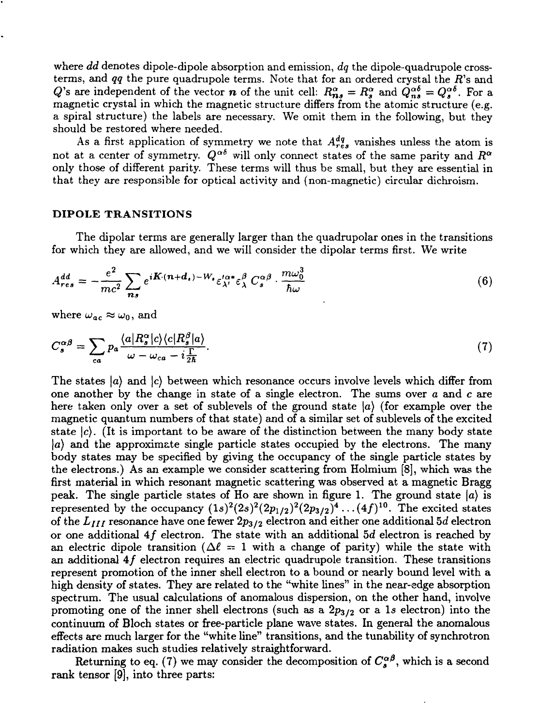where *dd* denotes dipole-dipole absorption and emission, *dq* the dipole-quadrupole crossterms, and  $qq$  the pure quadrupole terms. Note that for an ordered crystal the  $R$ 's and Q's are independent of the vector *n* of the unit cell:  $R_{ns}^{\alpha} = R_s^{\alpha}$  and  $Q_{ns}^{\alpha\delta} = Q_s^{\alpha\delta}$ . For a magnetic crystal in which the magnetic structure differs from the atomic structure (e.g. a spiral structure) the labels are necessary. We omit them in the following, but they should be restored where needed.

As a first application of symmetry we note that  $A_{res}^{dq}$  vanishes unless the atom is not at a center of symmetry.  $Q^{\alpha\delta}$  will only connect states of the same parity and  $R^{\alpha}$ only those of different parity. These terms will thus be small, but they are essential in that they are responsible for optical activity and (non-magnetic) circular dichroism.

#### DIPOLE TRANSITIONS

The dipolar terms are generally larger than the quadrupolar ones in the transitions for which they are allowed, and we will consider the dipolar terms first. We write

$$
A_{res}^{dd} = -\frac{e^2}{mc^2} \sum_{ns} e^{i\boldsymbol{K} \cdot (\boldsymbol{n} + \boldsymbol{d}_s) - W_s} \varepsilon_{\lambda'}^{t\alpha*} \varepsilon_{\lambda}^{\beta} C_s^{\alpha\beta} \cdot \frac{m\omega_0^3}{\hbar \omega}
$$
(6)

where  $\omega_{ac} \approx \omega_0$ , and

$$
C_s^{\alpha\beta} = \sum_{ca} p_a \frac{\langle a | R_s^{\alpha} | c \rangle \langle c | R_s^{\beta} | a \rangle}{\omega - \omega_{ca} - i \frac{\Gamma}{2\hbar}}.
$$
\n(7)

The states *\a)* and *\c)* between which resonance occurs involve levels which differ from one another by the change in state of a single electron. The sums over *a* and c are here taken only over a set of sublevels of the ground state *\a)* (for example over the magnetic quantum numbers of that state) and of a similar set of sublevels of the excited state  $|c\rangle$ . (It is important to be aware of the distinction between the many body state *\a)* and the approximate single particle states occupied by the electrons. The many body states may be specified by giving the occupancy of the single particle states by the electrons.) As an example we consider scattering from Holmium [8], which was the first material in which resonant magnetic scattering was observed at a magnetic Bragg peak. The single particle states of Ho are shown in figure 1. The ground state  $\ket{a}$  is represented by the occupancy  $(1s)^2(2s)^2(2p_{1/2})^2(2p_{3/2})^4\ldots(4f)^{10}$ . The excited states of the  $L_{III}$  resonance have one fewer  $2p_{3/2}$  electron and either one additional 5d electron or one additional  $4f$  electron. The state with an additional 5d electron is reached by an electric dipole transition  $(\Delta \ell = 1$  with a change of parity) while the state with an additional  $4f$  electron requires an electric quadrupole transition. These transitions represent promotion of the inner shell electron to a bound or nearly bound level with a high density *o{* states. They are related to the "white lines" in the near-edge absorption spectrum. The usual calculations of anomalous dispersion, on the other hand, involve promoting one of the inner shell electrons (such as a 2p3/2 or a *Is* electron) into the continuum of Bloch states or free-particle plane wave states. In general the anomalous effects are much larger for the "white line" transitions, and the tunability of synchrotron radiation makes such studies relatively straightforward.

Returning to eq. (7) we may consider the decomposition of  $C_s^{\alpha\beta}$ , which is a second rank tensor [9], into three parts: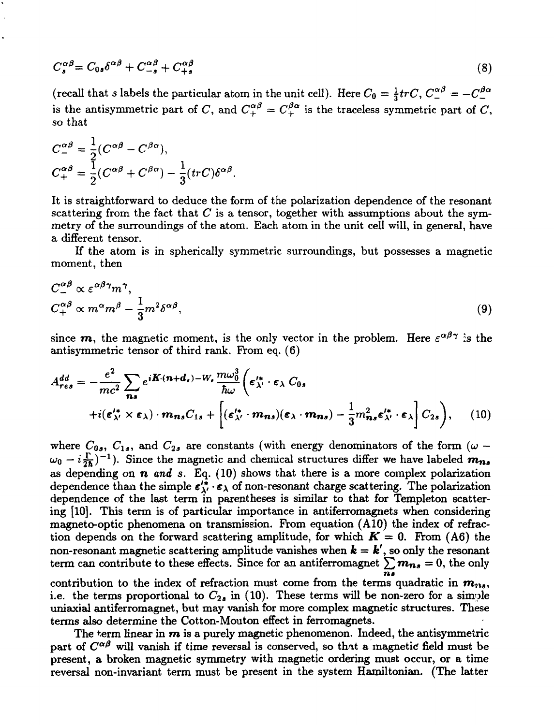$$
C_s^{\alpha\beta} = C_{0s}\delta^{\alpha\beta} + C_{-s}^{\alpha\beta} + C_{+s}^{\alpha\beta} \tag{8}
$$

(recall that *s* labels the particular atom in the unit cell). Here  $C_0 = \frac{1}{3} tr C$ ,  $C_1^{\alpha\beta} = -C_1^{\beta\alpha}$ is the antisymmetric part of C, and  $C_{+}^{\alpha\beta} = C_{+}^{\beta\alpha}$  is the traceless symmetric part of C, so that

$$
C_{-}^{\alpha\beta} = \frac{1}{2}(C^{\alpha\beta} - C^{\beta\alpha}),
$$
  
\n
$$
C_{+}^{\alpha\beta} = \frac{1}{2}(C^{\alpha\beta} + C^{\beta\alpha}) - \frac{1}{3}(trC)\delta^{\alpha\beta}
$$

It is straightforward to deduce the form of the polarization dependence of the resonant scattering from the fact that  $C$  is a tensor, together with assumptions about the symmetry of the surroundings of the atom. Each atom in the unit cell will, in general, have a different tensor.

If the atom is in spherically symmetric surroundings, but possesses a magnetic moment, then

$$
C^{\alpha\beta}_{+} \propto \varepsilon^{\alpha\beta\gamma} m^{\gamma},
$$
  
\n
$$
C^{\alpha\beta}_{+} \propto m^{\alpha} m^{\beta} - \frac{1}{3} m^{2} \delta^{\alpha\beta},
$$
\n(9)

since  $\bm{m}$ , the magnetic moment, is the only vector in the problem. Here  $\varepsilon^{\alpha\beta\gamma}$  is the antisymmetric tensor of third rank. From eq. (6)

$$
A_{res}^{dd} = -\frac{e^2}{mc^2} \sum_{ns} e^{i\boldsymbol{K}\cdot(\boldsymbol{n}+\boldsymbol{d}_s)-W_s} \frac{m\omega_0^3}{\hbar\omega} \bigg(\boldsymbol{\varepsilon}_{\lambda'}^{\prime*} \cdot \boldsymbol{\varepsilon}_{\lambda} C_{0s} + i(\boldsymbol{\varepsilon}_{\lambda'}^{\prime*} \times \boldsymbol{\varepsilon}_{\lambda}) \cdot \boldsymbol{m}_{ns} C_{1s} + \bigg[(\boldsymbol{\varepsilon}_{\lambda'}^{\prime*} \cdot \boldsymbol{m}_{ns})(\boldsymbol{\varepsilon}_{\lambda} \cdot \boldsymbol{m}_{ns}) - \frac{1}{3} m_{ns}^2 \boldsymbol{\varepsilon}_{\lambda'}^{\prime*} \cdot \boldsymbol{\varepsilon}_{\lambda} \bigg] C_{2s} \bigg), \qquad (10)
$$

where  $C_{0s}$ ,  $C_{1s}$ , and  $C_{2s}$  are constants (with energy denominators of the form ( $\omega$  –  $\omega_0 - i \frac{\Gamma}{2\hbar}$ )<sup>-1</sup>). Since the magnetic and chemical structures differ we have labeled  $m_{ns}$ as depending on  $n$  and  $s$ . Eq.  $(10)$  shows that there is a more complex polarization dependence than the simple  $\varepsilon_{\lambda'}^{i*} \cdot \varepsilon_{\lambda}$  of non-resonant charge scattering. The polarization dependence of the last term in parentheses is similar to that for Templeton scattering [10]. This term is of particular importance in antiferromagnets when considering magneto-optic phenomena on transmission. From equation (A 10) the index of refraction depends on the forward scattering amplitude, for which  $K = 0$ . From (A6) the non-resonant magnetic scattering amplitude vanishes when  $\bm{k} = \bm{k}'$ , so only the resonant term can contribute to these effects. Since for an antiferromagnet  $\sum m_{ns} = 0$ , the only

*n»* contribution to the index of refraction must come from the terms quadratic in  $m_{21s}$ , i.e. the terms proportional to  $C_{2a}$  in (10). These terms will be non-zero for a simple uniaxial antiferromagnet, but may vanish for more complex magnetic structures. These terms also determine the Cotton-Mouton effect in ferromagnets.

The term linear in  $m$  is a purely magnetic phenomenon. Indeed, the antisymmetric part of  $C^{\alpha\beta}$  will vanish if time reversal is conserved, so that a magnetic field must be present, a broken magnetic symmetry with magnetic ordering must occur, or a time reversal non-invariant term must be present in the system Hamiltonian. (The latter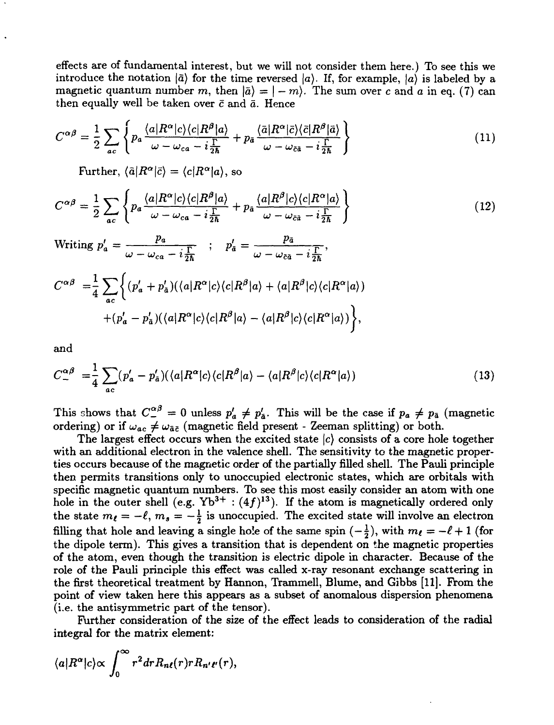effects are of fundamental interest, but we will not consider them here.) To see this we introduce the notation  $|\tilde{a}\rangle$  for the time reversed  $|a\rangle$ . If, for example,  $|a\rangle$  is labeled by a magnetic quantum number m, then  $\vert \bar{a} \rangle = |-m\rangle$ . The sum over c and a in eq. (7) can then equally well be taken over *c* and *a.* Hence

$$
C^{\alpha\beta} = \frac{1}{2} \sum_{ac} \left\{ p_a \frac{\langle a|R^{\alpha}|c\rangle\langle c|R^{\beta}|a\rangle}{\omega - \omega_{ca} - i\frac{\Gamma}{2\hbar}} + p_{\tilde{a}} \frac{\langle \bar{a}|R^{\alpha}|\bar{c}\rangle\langle \bar{c}|R^{\beta}|\bar{a}\rangle}{\omega - \omega_{\bar{c}\bar{a}} - i\frac{\Gamma}{2\hbar}} \right\}
$$
(11)

 $\text{Further, } \langle \tilde{a} | R^{\alpha} | \tilde{c} \rangle = \langle c | R^{\alpha} | a \rangle, \text{ so}$ 

$$
C^{\alpha\beta} = \frac{1}{2} \sum_{ac} \left\{ p_a \frac{\langle a|R^{\alpha}|c\rangle\langle c|R^{\beta}|a\rangle}{\omega - \omega_{ca} - i\frac{\Gamma}{2\hbar}} + p_{\tilde{a}} \frac{\langle a|R^{\beta}|c\rangle\langle c|R^{\alpha}|a\rangle}{\omega - \omega_{\tilde{c}\tilde{a}} - i\frac{\Gamma}{2\hbar}} \right\}
$$
(12)

Writing  $p'_a = \frac{p_a}{\omega - \omega_{ca} - i\frac{\Gamma}{2\hbar}}$  ;  $p'_a = \frac{p_{\bar{a}}}{\omega - \omega_{\bar{c}\bar{a}} - i\frac{\Gamma}{2\hbar}}$ ,

$$
C^{\alpha\beta} = \frac{1}{4} \sum_{ac} \left\{ (p'_a + p'_{\bar{a}}) (\langle a | R^{\alpha} | c \rangle \langle c | R^{\beta} | a \rangle + \langle a | R^{\beta} | c \rangle \langle c | R^{\alpha} | a \rangle ) + (p'_a - p'_{\bar{a}}) (\langle a | R^{\alpha} | c \rangle \langle c | R^{\beta} | a \rangle - \langle a | R^{\beta} | c \rangle \langle c | R^{\alpha} | a \rangle ) \right\},\
$$

and

$$
C_{-}^{\alpha\beta} = \frac{1}{4} \sum_{ac} (p'_a - p'_a) (\langle a|R^\alpha|c\rangle \langle c|R^\beta|a\rangle - \langle a|R^\beta|c\rangle \langle c|R^\alpha|a\rangle)
$$
 (13)

This shows that  $C_{-}^{\alpha\beta} = 0$  unless  $p'_a \neq p'_{\bar{a}}$ . This will be the case if  $p_a \neq p_{\bar{a}}$  (magnetic ordering) or if  $\omega_{ac} \neq \omega_{\bar{a}\bar{c}}$  (magnetic field present - Zeeman splitting) or both.

The largest effect occurs when the excited state *\c)* consists of a core hole together with an additional electron in the valence shell. The sensitivity to the magnetic properties occurs because of the magnetic order of the partially filled shell. The Pauli principle then permits transitions only to unoccupied electronic states, which are orbitals with specific magnetic quantum numbers. To see this most easily consider an atom with one hole in the outer shell (e.g.  $Yb^{3+}$  :  $(4f)^{13}$ ). If the atom is magnetically ordered only the state  $m_{\ell} = -\ell, m_s = -\frac{1}{2}$  is unoccupied. The excited state will involve an electron filling that hole and leaving a single hole of the same spin  $\left(-\frac{1}{2}\right)$ , with  $m_{\ell} = -\ell + 1$  (for the dipole term). This gives a transition that is dependent on the magnetic properties of the atom, even though the transition is electric dipole in character. Because of the role of the Pauli principle this effect was called x-ray resonant exchange scattering in the first theoretical treatment by Hannon, Trammell, Blume, and Gibbs [11]. From the point of view taken here this appears as a subset of anomalous dispersion phenomena (i.e. the antisymmetric part of the tensor).

Further consideration of the size of the effect leads to consideration of the radial integral for the matrix element:

$$
\langle a|R^{\alpha}|c\rangle \propto \int_0^{\infty} r^2 dr R_{n\ell}(r) r R_{n'\ell'}(r),
$$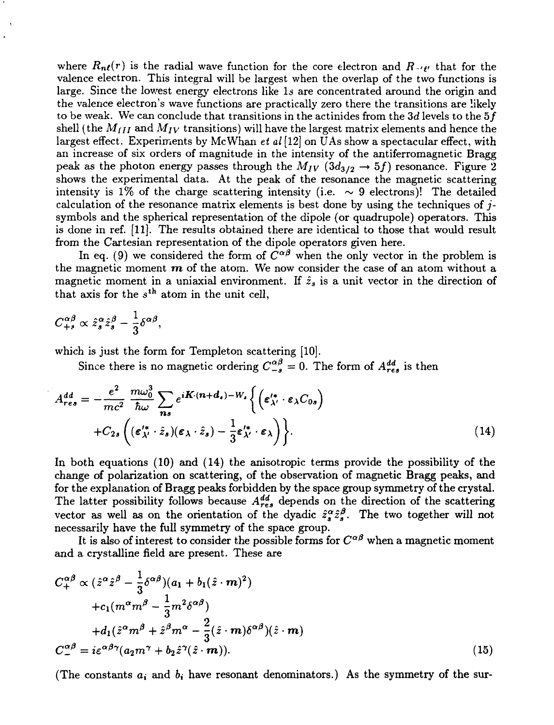where  $R_{n\ell}(r)$  is the radial wave function for the core electron and  $R_{n\ell}$  that for the valence electron. This integral will be largest when the overlap of the two functions is large. Since the lowest energy electrons like 1s are concentrated around the origin and the valence electron's wave functions are practically zero there the transitions are likely to be weak. We can conclude that transitions in the actinides from the  $3d$  levels to the  $5f$ shell (the  $M_{III}$  and  $M_{IV}$  transitions) will have the largest matrix elements and hence the largest effect. Experiments by Me Whan *et al* [12] on UAs show a spectacular effect, with an increase of six orders of magnitude in the intensity of the antiferromagnetic Bragg peak as the photon energy passes through the  $M_{IV}$  ( $3d_{3/2} \rightarrow 5f$ ) resonance. Figure 2 shows the experimental data. At the peak of the resonance the magnetic scattering intensity is 1% of the charge scattering intensity (i.e.  $\sim$  9 electrons)! The detailed calculation of the resonance matrix elements is best done by using the techniques of *j*  symbols and the spherical representation of the dipole (or quadrupole) operators. This is done in ref. [11]. The results obtained there are identical to those that would result from the Cartesian representation of the dipole operators given here.

In eq. (9) we considered the form of  $\tilde{C}^{\alpha\beta}$  when the only vector in the problem is the magnetic moment *m* of the atom. We now consider the case of an atom without a magnetic moment in a uniaxial environment. If  $\hat{z}_s$  is a unit vector in the direction of that axis for the  $s^{th}$  atom in the unit cell,

$$
C_{+s}^{\alpha\beta}\propto\hat{z}_s^{\alpha}\hat{z}_s^{\beta}-\frac{1}{3}\delta^{\alpha\beta},
$$

 $\ddot{\phantom{0}}$ 

which is just the form for Templeton scattering [10].

Since there is no magnetic ordering  $C_{-s}^{\alpha\beta} = 0$ . The form of  $A_{res}^{dd}$  is then

$$
A_{res}^{dd} = -\frac{e^2}{mc^2} \frac{m\omega_0^3}{\hbar\omega} \sum_{\mathbf{n}s} e^{i\mathbf{K}\cdot(\mathbf{n}+\mathbf{d}_s)-W_s} \left\{ \left( \boldsymbol{\varepsilon}_{\lambda'}^{\prime*} \cdot \boldsymbol{\varepsilon}_{\lambda} C_{0s} \right) \right. \\ + C_{2s} \left( (\boldsymbol{\varepsilon}_{\lambda'}^{\prime*} \cdot \hat{z}_s)(\boldsymbol{\varepsilon}_{\lambda} \cdot \hat{z}_s) - \frac{1}{3} \boldsymbol{\varepsilon}_{\lambda'}^{\prime*} \cdot \boldsymbol{\varepsilon}_{\lambda} \right) \right\}.
$$
 (14)

In both equations (10) and (14) the anisotropic terms provide the possibility of the change of polarization on scattering, of the observation of magnetic Bragg peaks, and for the explanation of Bragg peaks forbidden by the space group symmetry of the crystal. The latter possibility follows because  $A_{res}^{dd}$  depends on the direction of the scattering vector as well as on the orientation of the dyadic  $\hat{z}_{\alpha}^{\alpha} \hat{z}_{\alpha}^{\beta}$ . The two together will not necessarily have the full symmetry of the space group.

It is also of interest to consider the possible forms for  $C^{\alpha\beta}$  when a magnetic moment and a crystalline field are present. These are

$$
C_{+}^{\alpha\beta} \propto (\hat{z}^{\alpha}\hat{z}^{\beta} - \frac{1}{3}\delta^{\alpha\beta})(a_{1} + b_{1}(\hat{z} \cdot \boldsymbol{m})^{2})
$$
  
+
$$
c_{1}(m^{\alpha}m^{\beta} - \frac{1}{3}m^{2}\delta^{\alpha\beta})
$$
  
+
$$
d_{1}(\hat{z}^{\alpha}m^{\beta} + \hat{z}^{\beta}m^{\alpha} - \frac{2}{3}(\hat{z} \cdot \boldsymbol{m})\delta^{\alpha\beta})(\hat{z} \cdot \boldsymbol{m})
$$
  

$$
C_{-}^{\alpha\beta} = i\epsilon^{\alpha\beta\gamma}(a_{2}m^{\gamma} + b_{2}\hat{z}^{\gamma}(\hat{z} \cdot \boldsymbol{m})).
$$
 (15)

(The constants  $a_i$  and  $b_i$  have resonant denominators.) As the symmetry of the sur-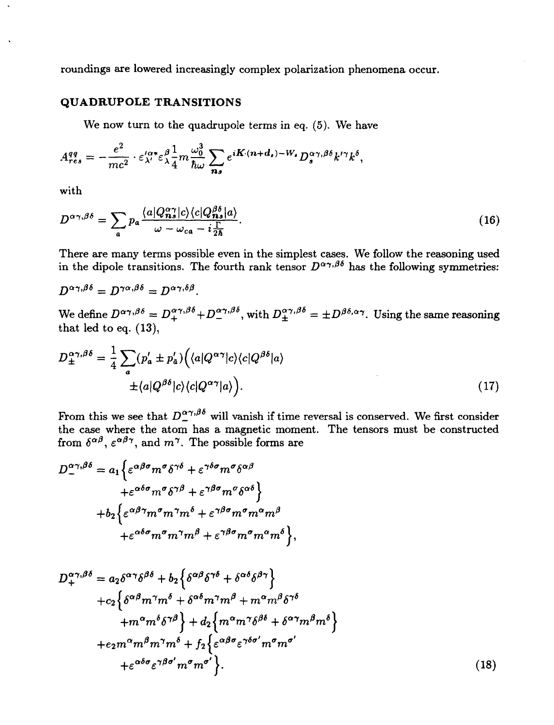roundings are lowered increasingly complex polarization phenomena occur.

# QUADRUPOLE TRANSITIONS

We now turn to the quadrupole terms in eq. (5). We have

$$
A_{res}^{qq}=-\frac{e^2}{mc^2}\cdot \varepsilon_{\lambda'}^{\prime\alpha*}\varepsilon_{\lambda}^{\beta}\frac{1}{4}m\frac{\omega_0^3}{\hbar\omega}\sum_{\boldsymbol{n}\boldsymbol{s}}e^{i\boldsymbol{K}\cdot(\boldsymbol{n}+\boldsymbol{d}_{\boldsymbol{s}})-W_{\boldsymbol{s}}}D_{\boldsymbol{s}}^{\alpha\gamma,\beta\delta}k^{\prime\gamma}k^{\delta},
$$

with

$$
D^{\alpha\gamma,\beta\delta} = \sum_{a} p_a \frac{\langle a|Q^{\alpha\gamma}_{\bm{n}s}|c\rangle \langle c|Q^{\beta\delta}_{\bm{n}s}|a\rangle}{\omega - \omega_{ca} - i\frac{\Gamma}{2\hbar}}.
$$
\n(16)

There are many terms possible even in the simplest cases. We follow the reasoning used in the dipole transitions. The fourth rank tensor  $D^{\alpha\gamma,\beta\delta}$  has the following symmetries:

$$
D^{\alpha\gamma,\beta\delta} = D^{\gamma\alpha,\beta\delta} = D^{\alpha\gamma,\delta\beta}.
$$
  
We define  $D^{\alpha\gamma,\beta\delta} = D^{\alpha\gamma,\beta\delta}_+$   $D^{\alpha\gamma,\beta\delta}_-$ , with  $D^{\alpha\gamma,\beta\delta}_\pm = \pm D^{\beta\delta,\alpha\gamma}$ . Using the same reasoning that led to eq. (13),

$$
D_{\pm}^{\alpha\gamma,\beta\delta} = \frac{1}{4} \sum_{a} (p'_a \pm p'_a) \Big( \langle a | Q^{\alpha\gamma} | c \rangle \langle c | Q^{\beta\delta} | a \rangle \n\pm \langle a | Q^{\beta\delta} | c \rangle \langle c | Q^{\alpha\gamma} | a \rangle \Big). \tag{17}
$$

From this we see that  $D^{\alpha\gamma,\beta\delta}$  will vanish if time reversal is conserved. We first consider the case where the atom has a magnetic moment. The tensors must be constructed from  $\delta^{\alpha\beta}$ ,  $\varepsilon^{\alpha\beta\gamma}$ , and  $m^{\gamma}$ . The possible forms are

$$
D_{+}^{\alpha\gamma,\beta\delta} = a_1 \left\{ \varepsilon^{\alpha\beta\sigma} m^{\sigma} \delta^{\gamma\delta} + \varepsilon^{\gamma\delta\sigma} m^{\sigma} \delta^{\alpha\beta} + \varepsilon^{\alpha\delta\sigma} m^{\sigma} \delta^{\gamma\beta} + \varepsilon^{\gamma\beta\sigma} m^{\sigma} \delta^{\alpha\delta} \right\} + b_2 \left\{ \varepsilon^{\alpha\beta\gamma} m^{\sigma} m^{\gamma} m^{\delta} + \varepsilon^{\gamma\beta\sigma} m^{\sigma} m^{\alpha} m^{\beta} + \varepsilon^{\alpha\delta\sigma} m^{\sigma} m^{\gamma} m^{\beta} + \varepsilon^{\gamma\beta\sigma} m^{\sigma} m^{\alpha} m^{\delta} \right\},
$$

$$
D_{+}^{\alpha\gamma,\beta\delta} = a_{2}\delta^{\alpha\gamma}\delta^{\beta\delta} + b_{2}\left\{\delta^{\alpha\beta}\delta^{\gamma\delta} + \delta^{\alpha\delta}\delta^{\beta\gamma}\right\} + c_{2}\left\{\delta^{\alpha\beta}m^{\gamma}m^{\delta} + \delta^{\alpha\delta}m^{\gamma}m^{\beta} + m^{\alpha}m^{\beta}\delta^{\gamma\delta} + m^{\alpha}m^{\delta}\delta^{\gamma\beta}\right\} + d_{2}\left\{m^{\alpha}m^{\gamma}\delta^{\beta\delta} + \delta^{\alpha\gamma}m^{\beta}m^{\delta}\right\} + e_{2}m^{\alpha}m^{\beta}m^{\gamma}m^{\delta} + f_{2}\left\{\epsilon^{\alpha\beta\sigma}\epsilon^{\gamma\delta\sigma'}m^{\sigma}m^{\sigma'}\right. + \epsilon^{\alpha\delta\sigma}\epsilon^{\gamma\beta\sigma'}m^{\sigma}m^{\sigma'}\right\}.
$$
 (18)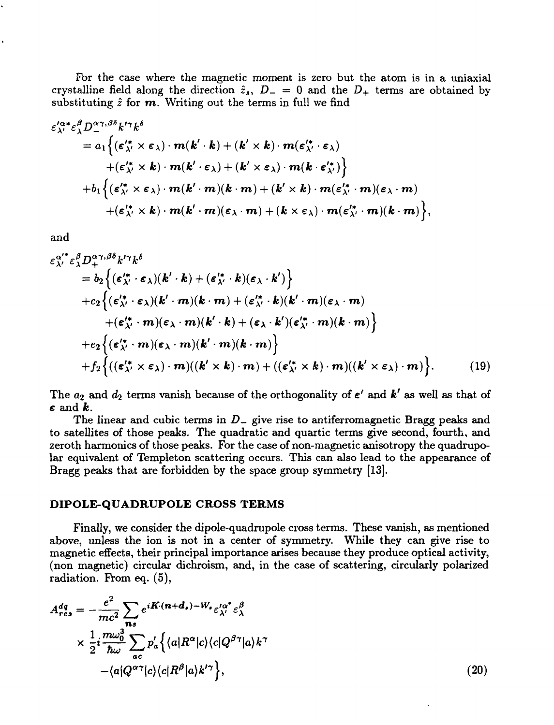For the case where the magnetic moment is zero but the atom is in a uniaxial crystalline field along the direction  $\hat{z}_s$ ,  $D_- = 0$  and the  $D_+$  terms are obtained by substituting *z* for *m.* Writing out the terms in full we find

$$
\varepsilon_{\lambda'}^{\prime\alpha *}\varepsilon_{\lambda}^{\beta}D_{\perp}^{\alpha\gamma,\beta\delta}k^{\prime\gamma}k^{\delta}
$$
\n
$$
= a_{1}\Big\{(\varepsilon_{\lambda'}^{\prime *}\times\varepsilon_{\lambda})\cdot m(k^{\prime}\cdot k) + (k^{\prime}\times k)\cdot m(\varepsilon_{\lambda'}^{\prime *}\cdot\varepsilon_{\lambda}) + (\varepsilon_{\lambda'}^{\prime *}\times k)\cdot m(k^{\prime}\cdot\varepsilon_{\lambda}) + (k^{\prime}\times\varepsilon_{\lambda})\cdot m(k^{\prime}\cdot\varepsilon_{\lambda'})\Big\}
$$
\n
$$
+ b_{1}\Big\{(\varepsilon_{\lambda'}^{\prime *}\times\varepsilon_{\lambda})\cdot m(k^{\prime}\cdot m)(k\cdot m) + (k^{\prime}\times k)\cdot m(\varepsilon_{\lambda'}^{\prime *}\cdot m)(\varepsilon_{\lambda}\cdot m) + (\varepsilon_{\lambda'}^{\prime *}\times k)\cdot m(k^{\prime}\cdot m)(\varepsilon_{\lambda}\cdot m) + (k^{\prime}\times\varepsilon_{\lambda})\cdot m(\varepsilon_{\lambda'}^{\prime *}\cdot m)(k\cdot m)\Big\},\
$$

and

$$
\varepsilon_{\lambda'}^{\alpha' *} \varepsilon_{\lambda}^{\beta} D_{+}^{\alpha \gamma, \beta \delta} k^{\prime \gamma} k^{\delta}
$$
\n
$$
= b_{2} \Big\{ (\varepsilon_{\lambda'}^{\prime *} \cdot \varepsilon_{\lambda}) (k' \cdot k) + (\varepsilon_{\lambda'}^{\prime *} \cdot k) (\varepsilon_{\lambda} \cdot k') \Big\}
$$
\n
$$
+ c_{2} \Big\{ (\varepsilon_{\lambda'}^{\prime *} \cdot \varepsilon_{\lambda}) (k' \cdot m) (k \cdot m) + (\varepsilon_{\lambda'}^{\prime *} \cdot k) (k' \cdot m) (\varepsilon_{\lambda} \cdot m)
$$
\n
$$
+ (\varepsilon_{\lambda'}^{\prime *} \cdot m) (\varepsilon_{\lambda} \cdot m) (k' \cdot k) + (\varepsilon_{\lambda} \cdot k') (\varepsilon_{\lambda'}^{\prime *} \cdot m) (k \cdot m) \Big\}
$$
\n
$$
+ e_{2} \Big\{ (\varepsilon_{\lambda'}^{\prime *} \cdot m) (\varepsilon_{\lambda} \cdot m) (k' \cdot m) (k \cdot m) \Big\}
$$
\n
$$
+ f_{2} \Big\{ ((\varepsilon_{\lambda'}^{\prime *} \times \varepsilon_{\lambda}) \cdot m) ((k' \times k) \cdot m) + ((\varepsilon_{\lambda'}^{\prime *} \times k) \cdot m) ((k' \times \varepsilon_{\lambda}) \cdot m) \Big\}. \tag{19}
$$

The  $a_2$  and  $d_2$  terms vanish because of the orthogonality of  $\epsilon'$  and  $\epsilon'$  as well as that of  $\epsilon$  and  $\boldsymbol{k}$ .

The linear and cubic terms in  $D_{-}$  give rise to antiferromagnetic Bragg peaks and to satellites of those peaks. The quadratic and quartic terms give second, fourth, and zeroth harmonics of those peaks. For the case of non-magnetic anisotropy the quadrupolar equivalent of Templeton scattering occurs. This can also lead to the appearance of Bragg peaks that are forbidden by the space group symmetry [13].

#### DIPOLE-QUADRUPOLE CROSS TERMS

Finally, we consider the dipole-quadrupole cross terms. These vanish, as mentioned above, unless the ion is not in a center of symmetry. While they can give rise to magnetic effects, their principal importance arises because they produce optical activity, (non magnetic) circular dichroism, and, in the case of scattering, circularly polarized radiation. From eq. (5),

$$
A_{res}^{dq} = -\frac{e^2}{mc^2} \sum_{ns} e^{i\mathbf{K} \cdot (\mathbf{n} + \mathbf{d}_s) - W_s} \varepsilon_{\lambda'}^{\prime \alpha^*} \varepsilon_{\lambda}^{\beta}
$$
  
 
$$
\times \frac{1}{2} i \frac{m\omega_0^3}{\hbar \omega} \sum_{ac} p'_a \left\{ \langle a | R^{\alpha} | c \rangle \langle c | Q^{\beta \gamma} | a \rangle k^{\gamma} - \langle a | Q^{\alpha \gamma} | c \rangle \langle c | R^{\beta} | a \rangle k^{\prime \gamma} \right\}, \tag{20}
$$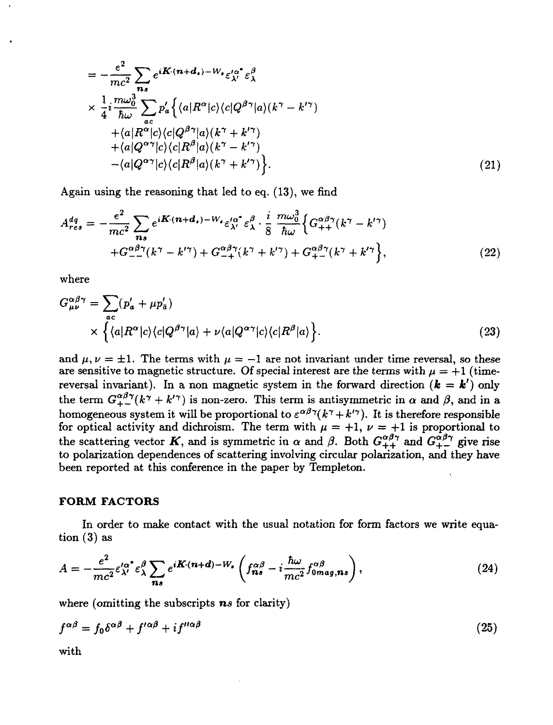$$
= -\frac{e^2}{mc^2} \sum_{n_3} e^{i\mathbf{K} \cdot (n+d_s) - W_s} \varepsilon_{\lambda'}^{\prime \alpha^*} \varepsilon_{\lambda}^{\beta}
$$
  
\n
$$
\times \frac{1}{4} i \frac{m \omega_0^3}{\hbar \omega} \sum_{ac} p'_a \Big\{ \langle a | R^\alpha | c \rangle \langle c | Q^{\beta \gamma} | a \rangle (k^\gamma - k'^\gamma) + \langle a | R^\alpha | c \rangle \langle c | Q^{\beta \gamma} | a \rangle (k^\gamma + k'^\gamma) + \langle a | Q^{\alpha \gamma} | c \rangle \langle c | R^\beta | a \rangle (k^\gamma - k'^\gamma) - \langle a | Q^{\alpha \gamma} | c \rangle \langle c | R^\beta | a \rangle (k^\gamma + k'^\gamma) \Big\}. \tag{21}
$$

Again using the reasoning that led to eq. (13), we find

$$
A_{res}^{dq} = -\frac{e^2}{mc^2} \sum_{n_s} e^{i\boldsymbol{K} \cdot (\boldsymbol{n} + \boldsymbol{d}_s) - W_s} \varepsilon_{\lambda'}^{\prime \alpha^*} \varepsilon_{\lambda}^{\beta} \cdot \frac{i}{8} \frac{m \omega_0^3}{\hbar \omega} \Big\{ G_{++}^{\alpha \beta \gamma} (k^{\gamma} - k^{\prime \gamma}) + G_{--}^{\alpha \beta \gamma} (k^{\gamma} - k^{\prime \gamma}) + G_{+-}^{\alpha \beta \gamma} (k^{\gamma} + k^{\prime \gamma}) + G_{+-}^{\alpha \beta \gamma} (k^{\gamma} + k^{\prime \gamma}) \Big\}, \tag{22}
$$

where

$$
G_{\mu\nu}^{\alpha\beta\gamma} = \sum_{ac} (p'_a + \mu p'_a) \times \left\{ \langle a | R^{\alpha} | c \rangle \langle c | Q^{\beta\gamma} | a \rangle + \nu \langle a | Q^{\alpha\gamma} | c \rangle \langle c | R^{\beta} | a \rangle \right\}.
$$
\n(23)

and  $\mu, \nu = \pm 1$ . The terms with  $\mu = -1$  are not invariant under time reversal, so these are sensitive to magnetic structure. Of special interest are the terms with  $\mu = +1$  (timereversal invariant). In a non magnetic system in the forward direction  $(\mathbf{k} = \mathbf{k}')$  only the term  $G_{+-}^{\alpha\beta\gamma}(k^{\gamma}+k'^{\gamma})$  is non-zero. This term is antisymmetric in  $\alpha$  and  $\beta$ , and in a homogeneous system it will be proportional to  $\varepsilon^{\alpha\beta\gamma}(k^{\gamma}+k'^{\gamma})$ . It is therefore responsible for optical activity and dichroism. The term with  $\mu = +1$ ,  $\nu = +1$  is proportional to the scattering vector K, and is symmetric in  $\alpha$  and  $\beta$ . Both  $G_{++}^{\alpha\beta\gamma}$  and  $G_{+-}^{\alpha\beta\gamma}$  give rise to polarization dependences of scattering involving circular polarization, and they have been reported at this conference in the paper by Templeton.

#### FORM FACTORS

In order to make contact with the usual notation for form factors we write equation (3) as

$$
A = -\frac{e^2}{mc^2} \varepsilon_{\lambda'}^{\prime \alpha^*} \varepsilon_{\lambda}^{\beta} \sum_{\mathbf{n}s} e^{i\mathbf{K} \cdot (\mathbf{n} + \mathbf{d}) - W_s} \left( f_{\mathbf{n}s}^{\alpha\beta} - i \frac{\hbar \omega}{mc^2} f_{0\mathbf{m}ag,\mathbf{n}s}^{\alpha\beta} \right), \tag{24}
$$

where (omitting the subscripts  $ns$  for clarity)

$$
f^{\alpha\beta} = f_0 \delta^{\alpha\beta} + f'^{\alpha\beta} + i f''^{\alpha\beta} \tag{25}
$$

with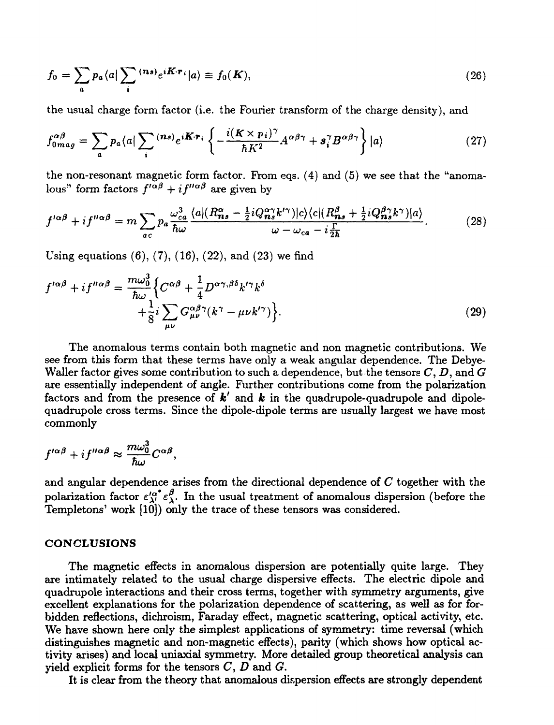$$
f_0 = \sum_a p_a \langle a | \sum_i \, ^{(n s)} e^{i \boldsymbol{K} \cdot \boldsymbol{r}_i} | a \rangle \equiv f_0(\boldsymbol{K}), \tag{26}
$$

the usual charge form factor (i.e. the Fourier transform of the charge density), and

$$
f_{0mag}^{\alpha\beta} = \sum_{a} p_a \langle a | \sum_{i} {^{(n s)} e^{i \pmb{K} \cdot \pmb{r}_i}} \left\{ - \frac{i (\pmb{K} \times p_i)^{\gamma}}{\hbar K^2} A^{\alpha\beta\gamma} + \pmb{s}_i^{\gamma} B^{\alpha\beta\gamma} \right\} |a\rangle \tag{27}
$$

the non-resonant magnetic form factor. From eqs.  $(4)$  and  $(5)$  we see that the "anomalous" form factors  $f'^{\alpha\beta} + i f''^{\alpha\beta}$  are given by

$$
f^{\prime\alpha\beta} + if^{\prime\prime\alpha\beta} = m \sum_{ac} p_a \frac{\omega_{ca}^3}{\hbar \omega} \frac{\langle a | (R_{ns}^\alpha - \frac{1}{2} i Q_{ns}^\alpha k'^\gamma) | c \rangle \langle c | (R_{ns}^\beta + \frac{1}{2} i Q_{ns}^\beta k^\gamma) | a \rangle}{\omega - \omega_{ca} - i \frac{\Gamma}{2\hbar}} \tag{28}
$$

Using equations  $(6)$ ,  $(7)$ ,  $(16)$ ,  $(22)$ , and  $(23)$  we find

$$
f^{\prime\alpha\beta} + i f^{\prime\prime\alpha\beta} = \frac{m\omega_0^3}{\hbar\omega} \Big\{ C^{\alpha\beta} + \frac{1}{4} D^{\alpha\gamma,\beta\delta} k^{\prime\gamma} k^{\delta} + \frac{1}{8} i \sum_{\mu\nu} G^{\alpha\beta\gamma}_{\mu\nu} (k^{\gamma} - \mu\nu k^{\prime\gamma}) \Big\}.
$$
 (29)

The anomalous terms contain both magnetic and non magnetic contributions. We see from this form that these terms have only a weak angular dependence. The Debye-Waller factor gives some contribution to such a dependence, but the tensors *C, D,* and *G* are essentially independent of angle. Further contributions come from the polarization factors and from the presence of *k'* and *k* in the quadrupole-quadrupole and dipolequadrupole cross terms. Since the dipole-dipole terms are usually largest we have most commonly

$$
f^{\prime\alpha\beta} + i f^{\prime\prime\alpha\beta} \approx \frac{m\omega_0^3}{\hbar\omega} C^{\alpha\beta},
$$

and angular dependence arises from the directional dependence of *C* together with the polarization factor  $\varepsilon_{\lambda'}^{\alpha^*} \varepsilon_{\lambda'}^{\beta}$ . In the usual treatment of anomalous dispersion (before the Templetons' work [10]) only the trace of these tensors was considered.

### **CONCLUSIONS**

The magnetic effects in anomalous dispersion are potentially quite large. They are intimately related to the usual charge dispersive effects. The electric dipole and quadrupole interactions and their cross terms, together with symmetry arguments, give excellent explanations for the polarization dependence of scattering, as well as for forbidden reflections, dichroism, Faraday effect, magnetic scattering, optical activity, etc. We have shown here only the simplest applications of symmetry: time reversal (which distinguishes magnetic and non-magnetic effects), parity (which shows how optical activity arises) and local uniaxial symmetry. More detailed group theoretical analysis can yield explicit forms for the tensors C, *D* and *G.*

It is clear from the theory that anomalous dispersion effects are strongly dependent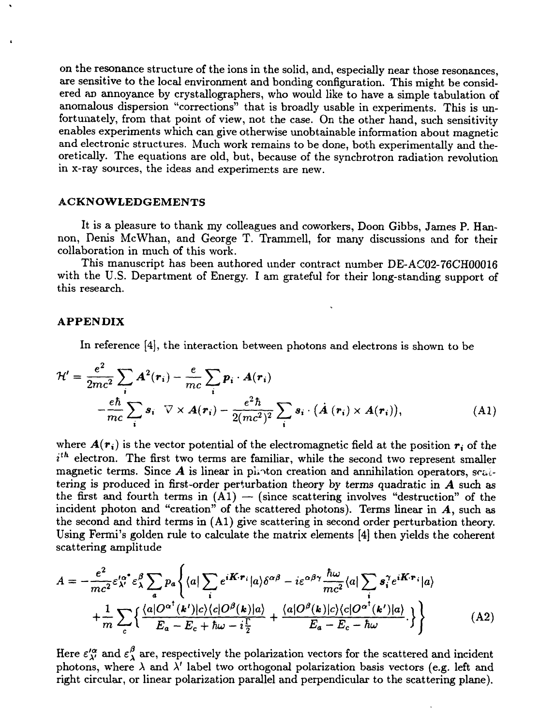on the resonance structure of the ions in the solid, and, especially near those resonances, are sensitive to the local environment and bonding configuration. This might be considered an annoyance by crystallographers, who would like to have a simple tabulation of anomalous dispersion "corrections" that is broadly usable in experiments. This is unfortunately, from that point of view, not the case. On the other hand, such sensitivity enables experiments which can give otherwise unobtainable information about magnetic and electronic structures. Much work remains to be done, both experimentally and theoretically. The equations are old, but, because of the synchrotron radiation revolution in x-ray sources, the ideas and experiments are new.

## **ACKNOWLEDGEMENTS**

It is a pleasure to thank my colleagues and coworkers, Doon Gibbs, James P. Hannon, Denis McWhan, and George T. Trammell, for many discussions and for their collaboration in much of this work.

This manuscript has been authored under contract number DE-AC02-76CH00016 with the U.S. Department of Energy. I am grateful for their long-standing support of this research.

#### **APPENDIX**

In reference [4], the interaction between photons and electrons is shown to be

$$
\mathcal{H}' = \frac{e^2}{2mc^2} \sum_{i} \mathbf{A}^2(\mathbf{r}_i) - \frac{e}{mc} \sum_{i} \mathbf{p}_i \cdot \mathbf{A}(\mathbf{r}_i)
$$

$$
-\frac{e\hbar}{mc} \sum_{i} \mathbf{s}_i \quad \nabla \times \mathbf{A}(\mathbf{r}_i) - \frac{e^2\hbar}{2(mc^2)^2} \sum_{i} \mathbf{s}_i \cdot (\mathbf{A}(\mathbf{r}_i) \times \mathbf{A}(\mathbf{r}_i)), \tag{A1}
$$

where  $A(r_i)$  is the vector potential of the electromagnetic field at the position  $r_i$  of the  $i<sup>th</sup>$  electron. The first two terms are familiar, while the second two represent smaller magnetic terms. Since  $A$  is linear in photon creation and annihilation operators, scaltering is produced in first-order perturbation theory by terms quadratic in *A* such as the first and fourth terms in  $(A1)$  — (since scattering involves "destruction" of the incident photon and "creation" of the scattered photons). Terms linear in  $A$ , such as the second and third terms in (Al) give scattering in second order perturbation theory. Using Fermi's golden rule to calculate the matrix elements [4] then yields the coherent scattering amplitude

$$
A = -\frac{e^2}{mc^2} \varepsilon_{\lambda'}^{\prime \alpha^*} \varepsilon_{\lambda}^{\beta} \sum_a p_a \left\{ \langle a | \sum_i e^{i\boldsymbol{K} \cdot \boldsymbol{r}_i} | a \rangle \delta^{\alpha \beta} - i \varepsilon^{\alpha \beta \gamma} \frac{\hbar \omega}{mc^2} \langle a | \sum_i \boldsymbol{s}_i^{\gamma} e^{i\boldsymbol{K} \cdot \boldsymbol{r}_i} | a \rangle \right.+ \frac{1}{m} \sum_c \left\{ \frac{\langle a | O^{\alpha^*}(\boldsymbol{k'}) | c \rangle \langle c | O^{\beta}(\boldsymbol{k}) | a \rangle}{E_a - E_c + \hbar \omega - i \frac{\Gamma}{2}} + \frac{\langle a | O^{\beta}(\boldsymbol{k}) | c \rangle \langle c | O^{\alpha^*}(\boldsymbol{k'}) | a \rangle}{E_a - E_c - \hbar \omega} \right\} \right\}
$$
(A2)

Here  $\varepsilon''_{\lambda'}$  and  $\varepsilon''_{\lambda}$  are, respectively the polarization vectors for the scattered and incident photons, where  $\lambda$  and  $\lambda'$  label two orthogonal polarization basis vectors (e.g. left and right circular, or linear polarization parallel and perpendicular to the scattering plane).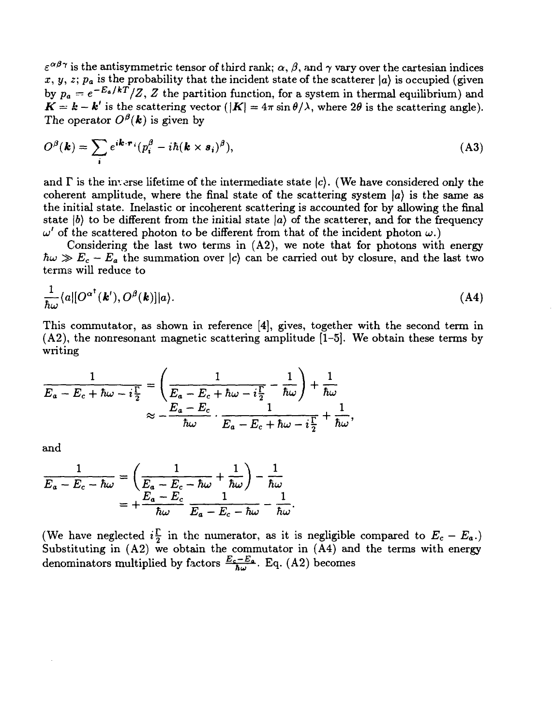$\varepsilon^{\alpha\beta\gamma}$  is the antisymmetric tensor of third rank;  $\alpha, \beta,$  and  $\gamma$  vary over the cartesian indices  $x, y, z; p_a$  is the probability that the incident state of the scatterer  $\vert a \rangle$  is occupied (given by  $p_a = e^{-E_a/kT}/Z$ , Z the partition function, for a system in thermal equilibrium) and  $\bm{K}=\bm{k}-\bm{k}'$  is the scattering vector  $(|\bm{K}|=4\pi\sin\theta/\lambda,$  where  $2\theta$  is the scattering angle). The operator  $O^{\beta}({\bm k})$  is given by

$$
O^{\beta}(\mathbf{k}) = \sum_{i} e^{i\mathbf{k} \cdot \mathbf{r}_{i}} (p_{i}^{\beta} - i\hbar (\mathbf{k} \times \mathbf{s}_{i})^{\beta}), \qquad (A3)
$$

and  $\Gamma$  is the inverse lifetime of the intermediate state  $|c\rangle$ . (We have considered only the coherent amplitude, where the final state of the scattering system  $\ket{a}$  is the same as the initial state. Inelastic or incoherent scattering is accounted for by allowing the final state  $\ket{b}$  to be different from the initial state  $\ket{a}$  of the scatterer, and for the frequency  $\omega'$  of the scattered photon to be different from that of the incident photon  $\omega$ .)

Considering the last two terms in (A2), we note that for photons with energy  $\hbar\omega \gg E_c - E_a$  the summation over  $\vert c \rangle$  can be carried out by closure, and the last two terms will reduce to

$$
\frac{1}{\hbar\omega}\langle a|[O^{\alpha^{\dagger}}(\boldsymbol{k}'),O^{\beta}(\boldsymbol{k})]|a\rangle.
$$
 (A4)

This commutator, as shown in reference [4], gives, together with the second term in (A2), the nonresonant magnetic scattering amplitude [1-5]. We obtain these terms by writing

$$
\frac{1}{E_a - E_c + \hbar \omega - i\frac{\Gamma}{2}} = \left(\frac{1}{E_a - E_c + \hbar \omega - i\frac{\Gamma}{2}} - \frac{1}{\hbar \omega}\right) + \frac{1}{\hbar \omega}
$$

$$
\approx -\frac{E_a - E_c}{\hbar \omega} \cdot \frac{1}{E_a - E_c + \hbar \omega - i\frac{\Gamma}{2}} + \frac{1}{\hbar \omega},
$$

and

$$
\frac{1}{E_a - E_c - \hbar \omega} = \left( \frac{1}{E_a - E_c - \hbar \omega} + \frac{1}{\hbar \omega} \right) - \frac{1}{\hbar \omega}
$$

$$
= + \frac{E_a - E_c}{\hbar \omega} \frac{1}{E_a - E_c - \hbar \omega} - \frac{1}{\hbar \omega}.
$$

(We have neglected  $i\frac{\Gamma}{2}$  in the numerator, as it is negligible compared to  $E_c - E_a$ .) Substituting in (A2) we obtain the commutator in (A4) and the terms with energy denominators multiplied by factors  $\frac{E_c - E_a}{\hbar \omega}$ . Eq. (A2) becomes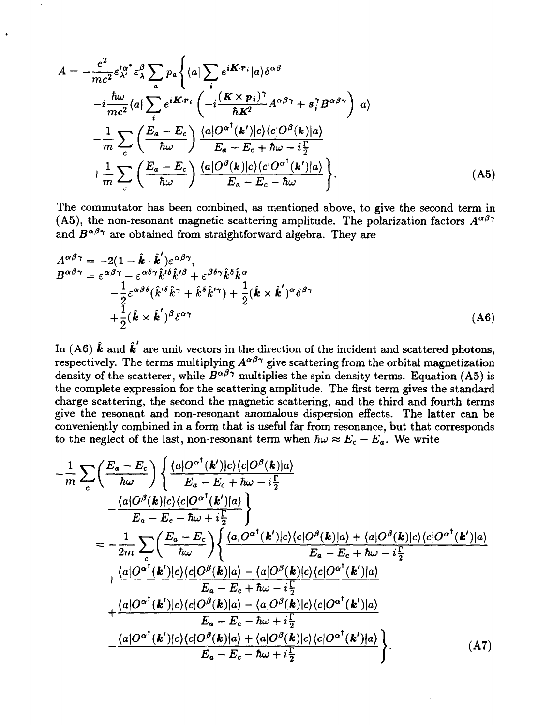$$
A = -\frac{e^2}{mc^2} \varepsilon_{\lambda'}^{\prime \alpha^*} \varepsilon_{\lambda}^{\beta} \sum_{a} p_a \left\{ \langle a | \sum_{i} e^{i\boldsymbol{K} \cdot \boldsymbol{r}_i} | a \rangle \delta^{\alpha \beta} \right.\left. -i \frac{\hbar \omega}{mc^2} \langle a | \sum_{i} e^{i\boldsymbol{K} \cdot \boldsymbol{r}_i} \left( -i \frac{(\boldsymbol{K} \times \boldsymbol{p}_i)^{\gamma}}{\hbar \boldsymbol{K}^2} A^{\alpha \beta \gamma} + s_i^{\gamma} B^{\alpha \beta \gamma} \right) | a \rangle \left. - \frac{1}{m} \sum_{c} \left( \frac{E_a - E_c}{\hbar \omega} \right) \frac{\langle a | O^{\alpha^{\dagger}}(\boldsymbol{k'}) | c \rangle \langle c | O^{\beta}(\boldsymbol{k}) | a \rangle}{E_a - E_c + \hbar \omega - i \frac{\Gamma}{2}} \left. + \frac{1}{m} \sum_{c} \left( \frac{E_a - E_c}{\hbar \omega} \right) \frac{\langle a | O^{\beta}(\boldsymbol{k}) | c \rangle \langle c | O^{\alpha^{\dagger}}(\boldsymbol{k'}) | a \rangle}{E_a - E_c - \hbar \omega} \right\}.
$$
\n(A5)

 $\bullet$ 

The commutator has been combined, as mentioned above, to give the second term in (A5), the non-resonant magnetic scattering amplitude. The polarization factors  $A^{\alpha\beta\gamma}$ and  $B^{\alpha\beta\gamma}$  are obtained from straightforward algebra. They are

$$
A^{\alpha\beta\gamma} = -2(1 - \hat{k} \cdot \hat{k}')\varepsilon^{\alpha\beta\gamma},
$$
  
\n
$$
B^{\alpha\beta\gamma} = \varepsilon^{\alpha\beta\gamma} - \varepsilon^{\alpha\delta\gamma} \hat{k}'^{\delta} \hat{k}'^{\beta} + \varepsilon^{\beta\delta\gamma} \hat{k}^{\delta} \hat{k}^{\alpha}
$$
  
\n
$$
- \frac{1}{2} \varepsilon^{\alpha\beta\delta} (\hat{k}'^{\delta} \hat{k}^{\gamma} + \hat{k}^{\delta} \hat{k}'^{\gamma}) + \frac{1}{2} (\hat{k} \times \hat{k}')^{\alpha} \delta^{\beta\gamma}
$$
  
\n
$$
+ \frac{1}{2} (\hat{k} \times \hat{k}')^{\beta} \delta^{\alpha\gamma}
$$
\n(A6)

 $\text{In (A6) }\hat{k} \text{ and } \hat{k}^{'} \text{ are unit vectors in the direction of the incident and scattered photons,}$ respectively. The terms multiplying  $A^{\alpha\beta\gamma}$  give scattering from the orbital magnetization density of the scatterer, while  $B^{\alpha\beta\gamma}$  multiplies the spin density terms. Equation (A5) is the complete expression for the scattering amplitude. The first term gives the standard charge scattering, the second the magnetic scattering, and the third and fourth terms give the resonant and non-resonant anomalous dispersion effects. The latter can be conveniently combined in a form that is useful far from resonance, but that corresponds to the neglect of the last, non-resonant term when  $\hbar \omega \approx E_c - E_a$ . We write

$$
-\frac{1}{m}\sum_{c}\left(\frac{E_{a}-E_{c}}{\hbar\omega}\right)\left\{\frac{\langle a|O^{\alpha^{\dagger}}(\mathbf{k}')|c\rangle\langle c|O^{\beta}(\mathbf{k})|a\rangle}{E_{a}-E_{c}+\hbar\omega-i\frac{\Gamma}{2}}\right.-\frac{\langle a|O^{\beta}(\mathbf{k})|c\rangle\langle c|O^{\alpha^{\dagger}}(\mathbf{k}')|a\rangle}{E_{a}-E_{c}-\hbar\omega+i\frac{\Gamma}{2}}\right\}=-\frac{1}{2m}\sum_{c}\left(\frac{E_{a}-E_{c}}{\hbar\omega}\right)\left\{\frac{\langle a|O^{\alpha^{\dagger}}(\mathbf{k}')|c\rangle\langle c|O^{\beta}(\mathbf{k})|a\rangle+\langle a|O^{\beta}(\mathbf{k})|c\rangle\langle c|O^{\alpha^{\dagger}}(\mathbf{k}')|a\rangle}{E_{a}-E_{c}+\hbar\omega-i\frac{\Gamma}{2}}\right.+\frac{\langle a|O^{\alpha^{\dagger}}(\mathbf{k}')|c\rangle\langle c|O^{\beta}(\mathbf{k})|a\rangle-\langle a|O^{\beta}(\mathbf{k})|c\rangle\langle c|O^{\alpha^{\dagger}}(\mathbf{k}')|a\rangle}{E_{a}-E_{c}+\hbar\omega-i\frac{\Gamma}{2}}+\frac{\langle a|O^{\alpha^{\dagger}}(\mathbf{k}')|c\rangle\langle c|O^{\beta}(\mathbf{k})|a\rangle-\langle a|O^{\beta}(\mathbf{k})|c\rangle\langle c|O^{\alpha^{\dagger}}(\mathbf{k}')|a\rangle}{E_{a}-E_{c}-\hbar\omega+i\frac{\Gamma}{2}}\frac{\langle a|O^{\alpha^{\dagger}}(\mathbf{k}')|c\rangle\langle c|O^{\beta}(\mathbf{k})|a\rangle+\langle a|O^{\beta}(\mathbf{k})|c\rangle\langle c|O^{\alpha^{\dagger}}(\mathbf{k}')|a\rangle}{E_{a}-E_{c}-\hbar\omega+i\frac{\Gamma}{2}}\right). \tag{A7}
$$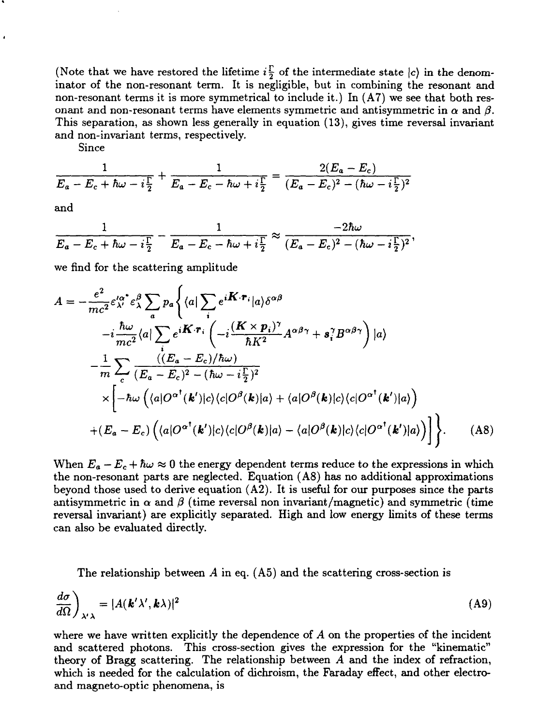(Note that we have restored the lifetime  $i^{\Gamma}_{\overline{2}}$  of the intermediate state  $|c\rangle$  in the denominator of the non-resonant term. It is negligible, but in combining the resonant and non-resonant terms it is more symmetrical to include it.) In  $(A7)$  we see that both resonant and non-resonant terms have elements symmetric and antisymmetric in  $\alpha$  and  $\beta$ . This separation, as shown less generally in equation (13), gives time reversal invariant and non-invariant terms, respectively.

Since

$$
\frac{1}{E_a - E_c + \hbar \omega - i\frac{\Gamma}{2}} + \frac{1}{E_a - E_c - \hbar \omega + i\frac{\Gamma}{2}} = \frac{2(E_a - E_c)}{(E_a - E_c)^2 - (\hbar \omega - i\frac{\Gamma}{2})^2}
$$

and

$$
\frac{1}{E_a-E_c+\hbar\omega-i\frac{\Gamma}{2}}-\frac{1}{E_a-E_c-\hbar\omega+i\frac{\Gamma}{2}}\approx\frac{-2\hbar\omega}{(E_a-E_c)^2-(\hbar\omega-i\frac{\Gamma}{2})^2},
$$

we find for the scattering amplitude

$$
A = -\frac{e^2}{mc^2} \varepsilon_{\lambda}^{\prime \alpha^*} \varepsilon_{\lambda}^{\beta} \sum_{a} p_a \Biggl\{ \langle a | \sum_{i} e^{i\boldsymbol{K} \cdot \boldsymbol{r}_i} | a \rangle \delta^{\alpha \beta} -i \frac{\hbar \omega}{mc^2} \langle a | \sum_{i} e^{i\boldsymbol{K} \cdot \boldsymbol{r}_i} \left( -i \frac{(\boldsymbol{K} \times \boldsymbol{p}_i)^{\gamma}}{\hbar K^2} A^{\alpha \beta \gamma} + s_i^{\gamma} B^{\alpha \beta \gamma} \right) | a \rangle -\frac{1}{m} \sum_{c} \frac{\langle (E_a - E_c)/\hbar \omega \rangle}{(E_a - E_c)^2 - (\hbar \omega - i \frac{\Gamma}{2})^2} \times \Biggl[ -\hbar \omega \left( \langle a | O^{\alpha^*}(\boldsymbol{k}') | c \rangle \langle c | O^{\beta}(\boldsymbol{k}) | a \rangle + \langle a | O^{\beta}(\boldsymbol{k}) | c \rangle \langle c | O^{\alpha^*}(\boldsymbol{k}') | a \rangle \right) + (E_a - E_c) \left( \langle a | O^{\alpha^*}(\boldsymbol{k}') | c \rangle \langle c | O^{\beta}(\boldsymbol{k}) | a \rangle - \langle a | O^{\beta}(\boldsymbol{k}) | c \rangle \langle c | O^{\alpha^*}(\boldsymbol{k}') | a \rangle \right) \Biggr]. \tag{A8}
$$

When  $E_a - E_c + \hbar \omega \approx 0$  the energy dependent terms reduce to the expressions in which the non-resonant parts are neglected. Equation (A8) has no additional approximations beyond those used to derive equation  $(A2)$ . It is useful for our purposes since the parts antisymmetric in  $\alpha$  and  $\beta$  (time reversal non invariant/magnetic) and symmetric (time reversal invariant) are explicitly separated. High and low energy limits of these terms can also be evaluated directly.

The relationship between *A* in eq. (A5) and the scattering cross-section is

$$
\frac{d\sigma}{d\Omega}\bigg)_{\lambda'\lambda} = |A(\mathbf{k}'\lambda', \mathbf{k}\lambda)|^2 \tag{A9}
$$

where we have written explicitly the dependence of A on the properties of the incident and scattered photons. This cross-section gives the expression for the "kinematic" theory of Bragg scattering. The relationship between *A* and the index of refraction, which is needed for the calculation of dichroism, the Faraday effect, and other electroand magneto-optic phenomena, is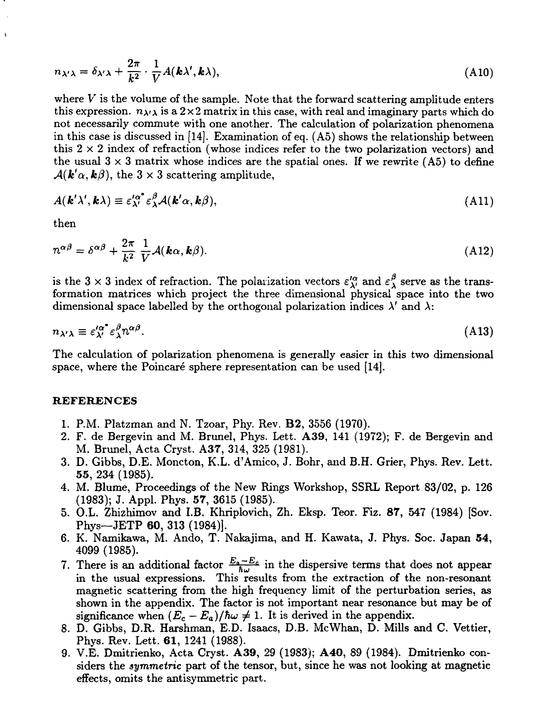$$
n_{\lambda'\lambda} = \delta_{\lambda'\lambda} + \frac{2\pi}{k^2} \cdot \frac{1}{V} A(\mathbf{k}\lambda', \mathbf{k}\lambda), \tag{A10}
$$

where *V* is the volume of the sample. Note that the forward scattering amplitude enters this expression.  $n_{\lambda\lambda}$  is a  $2 \times 2$  matrix in this case, with real and imaginary parts which do not necessarily commute with one another. The calculation of polarization phenomena in this case is discussed in [14]. Examination of eq. (A5) shows the relationship between this  $2 \times 2$  index of refraction (whose indices refer to the two polarization vectors) and the usual  $3 \times 3$  matrix whose indices are the spatial ones. If we rewrite (A5) to define  $\mathcal{A}(\mathbf{k}'\alpha,\mathbf{k}\beta)$ , the 3 x 3 scattering amplitude,

$$
A(\mathbf{k}'\lambda', \mathbf{k}\lambda) \equiv \varepsilon_{\lambda'}^{\prime\alpha^*} \varepsilon_{\lambda}^{\beta} A(\mathbf{k}'\alpha, \mathbf{k}\beta), \tag{A11}
$$

then

ś

$$
n^{\alpha\beta} = \delta^{\alpha\beta} + \frac{2\pi}{k^2} \frac{1}{V} \mathcal{A}(\mathbf{k}\alpha, \mathbf{k}\beta).
$$
 (A12)

is the 3 x 3 index of refraction. The polarization vectors  $\varepsilon''_{\lambda'}$  and  $\varepsilon''_{\lambda}$  serve as the transformation matrices which project the three dimensional physical space into the two dimensional space labelled by the orthogonal polarization indices  $\lambda'$  and  $\lambda$ :

$$
n_{\lambda'\lambda} \equiv \varepsilon_{\lambda'}^{\prime\alpha^*} \varepsilon_{\lambda}^{\beta} n^{\alpha\beta}.
$$
 (A13)

The calculation of polarization phenomena is generally easier in this two dimensional space, where the Poincaré sphere representation can be used [14].

#### **REFERENCES**

- 1. P.M. Platzman and N. Tzoar, Phy. Rev, B2, 3556 (1970).
- 2. F. de Bergevin and M. Brunei, Phys. Lett. A39, 141 (1972); F. de Bergevin and M. Brunei, Acta Cryst. A37, 314, 325 (1981).
- 3. D. Gibbs, D.E. Moncton, K.L. d'Amico, J. Bohr, and B.H. Grier, Phys. Rev. Lett. 55, 234 (1985).
- 4. M. Blume, Proceedings of the New Rings Workshop, SSRL Report 83/02, p. 126 (1983); J. Appl. Phys. 57, 3615 (1985).
- 5. O.L. Zhizhimov and I.B. Khriplovich, Zh. Eksp. Teor. Fiz. 87, 547 (1984) [Sov. Phys—JETP 60, 313 (1984)].
- 6. K. Namikawa, M. Ando, T. Nakajima, and H. Kawata, J. Phys. Soc. Japan 54, 4099 (1985).
- 7. There is an additional factor  $\frac{E_a E_c}{\hbar \omega}$  in the dispersive terms that does not appear in the usual expressions. This results from the extraction of the non-resonant magnetic scattering from the high frequency limit of the perturbation series, as shown in the appendix. The factor is not important near resonance but may be of significance when  $(E_c - E_a)/\hbar\omega \neq 1$ . It is derived in the appendix.
- 8. D. Gibbs, D.R. Harshman, E.D. Isaacs, D.B. McWhan, D. Mills and C. Vettier, Phys. Rev. Lett. 61, 1241 (1988).
- 9. V.E. Dmitrienko, Acta Cryst. A39, 29 (1983); **A40,** 89 (1984). Dmitrienko considers the *symmetric* part of the tensor, but, since he was not looking at magnetic effects, omits the antisymmetric part.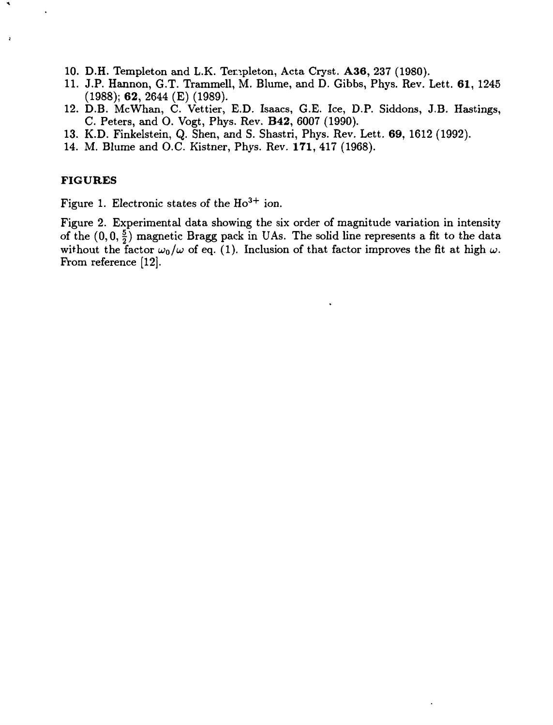- 10. D.H. Templeton and L.K. Terapleton, Acta Cryst. **A36,** 237 (1980).
- 11. J.P. Hannon, G.T. Trammell, M. Blume, and D. Gibbs, Phys. Rev. Lett. **61,** 1245 (1988); **62,** 2644 (E) (1989).
- 12. D.B. McWhan, C. Vettier, E.D. Isaacs, G.E. Ice, D.P. Siddons, J.B. Hastings, C. Peters, and O. Vogt, Phys. Rev. **B42,** 6007 (1990).
- 13. K.D. Finkelstein, Q. Shen, and S. Shastri, Phys. Rev. Lett. 69, 1612 (1992).
- 14. M. Blume and O.C. Kistner, Phys. Rev. **171,** 417 (1968).

## **FIGURES**

Figure 1. Electronic states of the  $Ho^{3+}$  ion.

Figure 2. Experimental data showing the six order of magnitude variation in intensity of the  $(0,0,\frac{5}{2})$  magnetic Bragg pack in UAs. The solid line represents a fit to the data without the factor  $\omega_0/\omega$  of eq. (1). Inclusion of that factor improves the fit at high  $\omega$ . From reference [12].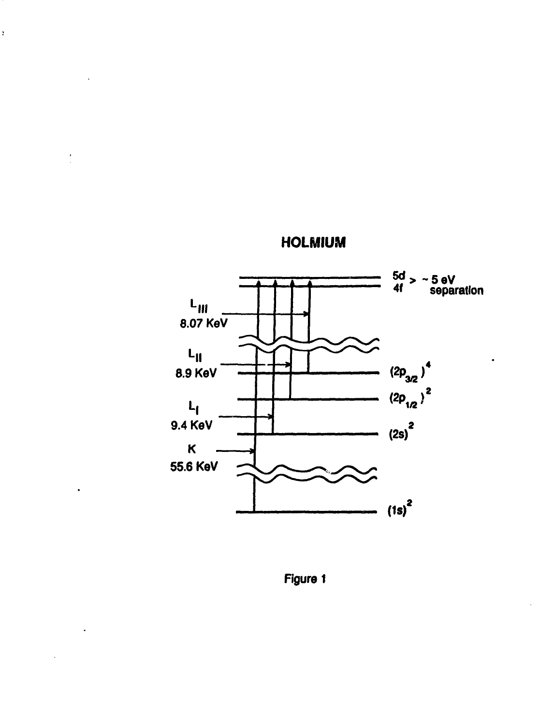

**HOLMIUM**

 $\bar{\mathbf{r}}$ 

**Figure 1**